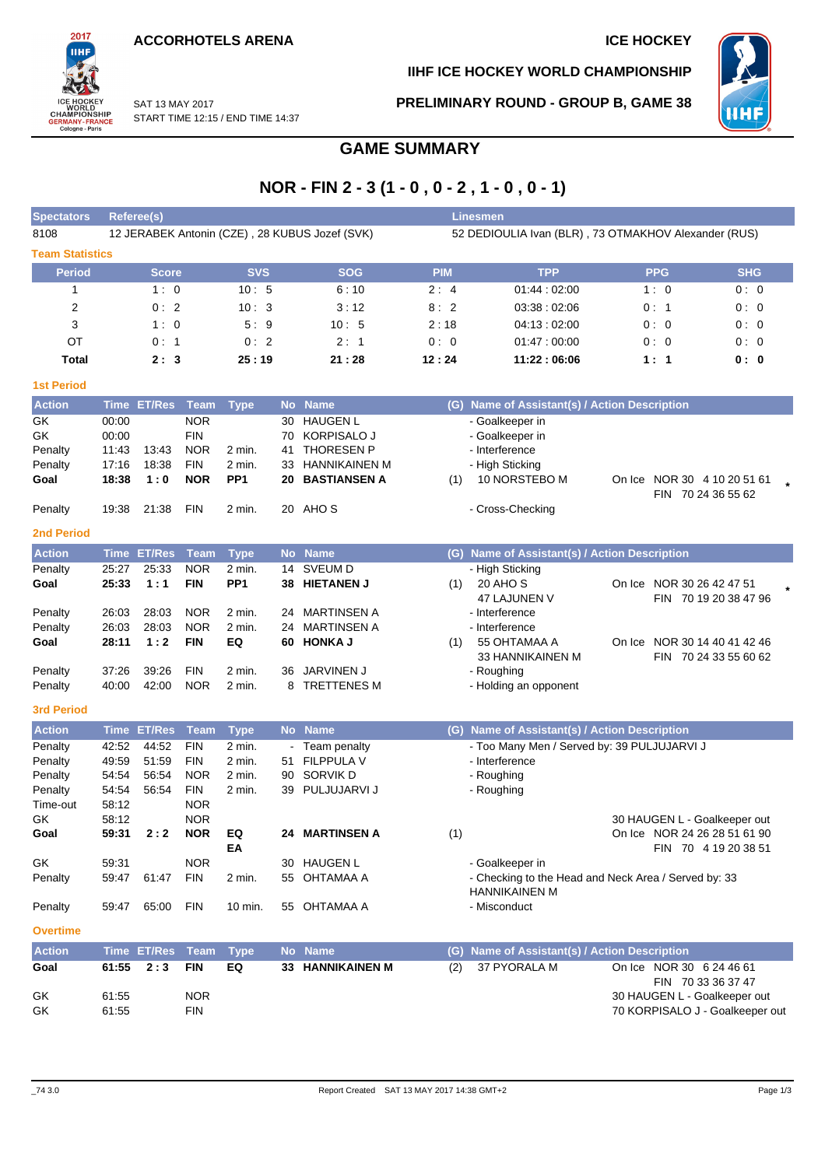START TIME 12:15 / END TIME 14:37

SAT 13 MAY 2017



**IIHF ICE HOCKEY WORLD CHAMPIONSHIP**

**PRELIMINARY ROUND - GROUP B, GAME 38**



# **GAME SUMMARY**

## **NOR - FIN 2 - 3 (1 - 0 , 0 - 2 , 1 - 0 , 0 - 1)**

| <b>Spectators</b>      |                | Referee(s)         |                           |                       |           |                                                |            | <b>Linesmen</b>                                                  |                                 |                       |
|------------------------|----------------|--------------------|---------------------------|-----------------------|-----------|------------------------------------------------|------------|------------------------------------------------------------------|---------------------------------|-----------------------|
| 8108                   |                |                    |                           |                       |           | 12 JERABEK Antonin (CZE), 28 KUBUS Jozef (SVK) |            | 52 DEDIOULIA Ivan (BLR), 73 OTMAKHOV Alexander (RUS)             |                                 |                       |
| <b>Team Statistics</b> |                |                    |                           |                       |           |                                                |            |                                                                  |                                 |                       |
| <b>Period</b>          |                | <b>Score</b>       |                           | <b>SVS</b>            |           | <b>SOG</b>                                     | <b>PIM</b> | <b>TPP</b>                                                       | <b>PPG</b>                      | <b>SHG</b>            |
| 1                      |                | 1:0                |                           | 10:5                  |           | 6:10                                           | 2:4        | 01:44:02:00                                                      | 1:0                             | 0:0                   |
| 2                      |                | 0:2                |                           | 10:3                  |           | 3:12                                           | 8:2        | 03:38:02:06                                                      | 0:1                             | 0:0                   |
| 3                      |                | 1:0                |                           | 5:9                   |           | 10:5                                           | 2:18       | 04:13:02:00                                                      | 0:0                             | 0:0                   |
| OT                     |                | 0:1                |                           | 0:2                   |           | 2:1                                            | 0:0        | 01:47:00:00                                                      | 0:0                             | 0:0                   |
| Total                  |                | 2:3                |                           | 25:19                 |           | 21:28                                          | 12:24      | 11:22:06:06                                                      | 1:1                             | 0: 0                  |
| <b>1st Period</b>      |                |                    |                           |                       |           |                                                |            |                                                                  |                                 |                       |
| <b>Action</b>          | <b>Time</b>    | <b>ET/Res</b>      | Team                      | <b>Type</b>           | <b>No</b> | <b>Name</b>                                    |            | (G) Name of Assistant(s) / Action Description                    |                                 |                       |
| GK                     | 00:00          |                    | <b>NOR</b>                |                       | 30        | <b>HAUGEN L</b>                                |            | - Goalkeeper in                                                  |                                 |                       |
| GK                     | 00:00          |                    | <b>FIN</b>                |                       | 70        | KORPISALO J                                    |            | - Goalkeeper in                                                  |                                 |                       |
| Penalty                | 11:43          | 13:43              | <b>NOR</b>                | 2 min.                | 41        | <b>THORESEN P</b>                              |            | - Interference                                                   |                                 |                       |
| Penalty                | 17:16          | 18:38              | <b>FIN</b>                | 2 min.                | 33        | <b>HANNIKAINEN M</b>                           |            | - High Sticking                                                  |                                 |                       |
| Goal                   | 18:38          | 1:0                | <b>NOR</b>                | PP <sub>1</sub>       | 20        | <b>BASTIANSEN A</b>                            | (1)        | 10 NORSTEBO M                                                    | On Ice NOR 30 4 10 20 51 61     |                       |
| Penalty                | 19:38          | 21:38              | <b>FIN</b>                | 2 min.                |           | 20 AHOS                                        |            | - Cross-Checking                                                 |                                 | FIN 70 24 36 55 62    |
| <b>2nd Period</b>      |                |                    |                           |                       |           |                                                |            |                                                                  |                                 |                       |
| <b>Action</b>          |                | <b>Time ET/Res</b> |                           |                       |           | No Name                                        |            |                                                                  |                                 |                       |
| Penalty                | 25:27          | 25:33              | <b>Team</b><br><b>NOR</b> | <b>Type</b><br>2 min. |           | 14 SVEUM D                                     |            | (G) Name of Assistant(s) / Action Description<br>- High Sticking |                                 |                       |
| Goal                   | 25:33          | 1:1                | <b>FIN</b>                | PP <sub>1</sub>       | 38        | <b>HIETANEN J</b>                              | (1)        | 20 AHO S                                                         | On Ice NOR 30 26 42 47 51       |                       |
|                        |                |                    |                           |                       |           |                                                |            | 47 LAJUNEN V                                                     |                                 | FIN 70 19 20 38 47 96 |
| Penalty                | 26:03          | 28:03              | <b>NOR</b>                | 2 min.                | 24        | <b>MARTINSEN A</b>                             |            | - Interference                                                   |                                 |                       |
| Penalty                | 26:03          | 28:03              | <b>NOR</b>                | 2 min.                | 24        | <b>MARTINSEN A</b>                             |            | - Interference                                                   |                                 |                       |
| Goal                   | 28:11          | 1:2                | <b>FIN</b>                | EQ                    | 60        | <b>HONKA J</b>                                 | (1)        | 55 OHTAMAA A                                                     | On Ice NOR 30 14 40 41 42 46    |                       |
|                        |                |                    |                           |                       |           |                                                |            | 33 HANNIKAINEN M                                                 |                                 | FIN 70 24 33 55 60 62 |
| Penalty                | 37:26          | 39:26              | <b>FIN</b>                | 2 min.                | 36        | JARVINEN J                                     |            | - Roughing                                                       |                                 |                       |
| Penalty                | 40:00          | 42:00              | <b>NOR</b>                | 2 min.                | 8         | <b>TRETTENES M</b>                             |            | - Holding an opponent                                            |                                 |                       |
| <b>3rd Period</b>      |                |                    |                           |                       |           |                                                |            |                                                                  |                                 |                       |
| <b>Action</b>          | <b>Time</b>    | <b>ET/Res</b>      | Team                      | <b>Type</b>           |           | No Name                                        | (G)        | <b>Name of Assistant(s) / Action Description</b>                 |                                 |                       |
| Penalty                | 42:52          | 44:52              | <b>FIN</b>                | 2 min.                |           | Team penalty                                   |            | - Too Many Men / Served by: 39 PULJUJARVI J                      |                                 |                       |
| Penalty                | 49:59          | 51:59              | <b>FIN</b>                | 2 min.                | 51        | <b>FILPPULA V</b>                              |            | - Interference                                                   |                                 |                       |
| Penalty                | 54:54          | 56:54              | <b>NOR</b>                | 2 min.                | 90        | SORVIK D                                       |            | - Roughing                                                       |                                 |                       |
| Penalty<br>Time-out    | 54:54<br>58:12 | 56:54              | <b>FIN</b><br><b>NOR</b>  | 2 min.                | 39        | PULJUJARVI J                                   |            | - Roughing                                                       |                                 |                       |
| GK                     | 58:12          |                    | <b>NOR</b>                |                       |           |                                                |            |                                                                  | 30 HAUGEN L - Goalkeeper out    |                       |
| Goal                   | 59:31          | 2:2                | <b>NOR</b>                | EQ                    |           | 24 MARTINSEN A                                 | (1)        |                                                                  | On Ice NOR 24 26 28 51 61 90    |                       |
|                        |                |                    |                           | EA                    |           |                                                |            |                                                                  |                                 | FIN 70 4 19 20 38 51  |
| GK                     | 59.31          |                    | <b>NOR</b>                |                       |           | 30 HAUGEN L                                    |            | - Goalkeeper in                                                  |                                 |                       |
| Penalty                | 59:47          | 61:47              | <b>FIN</b>                | 2 min.                | 55        | OHTAMAA A                                      |            | - Checking to the Head and Neck Area / Served by: 33             |                                 |                       |
|                        |                |                    |                           |                       |           |                                                |            | HANNIKAINEN M                                                    |                                 |                       |
| Penalty                | 59:47          | 65:00              | <b>FIN</b>                | 10 min.               |           | 55 OHTAMAA A                                   |            | - Misconduct                                                     |                                 |                       |
| <b>Overtime</b>        |                |                    |                           |                       |           |                                                |            |                                                                  |                                 |                       |
| <b>Action</b>          |                | <b>Time ET/Res</b> | <b>Team</b>               | <b>Type</b>           |           | No Name                                        | (G)        | <b>Name of Assistant(s) / Action Description</b>                 |                                 |                       |
| Goal                   | 61:55          | 2:3                | <b>FIN</b>                | EQ                    |           | 33 HANNIKAINEN M                               | (2)        | 37 PYORALA M                                                     | On Ice NOR 30 6 24 46 61        | FIN 70 33 36 37 47    |
| GK                     | 61:55          |                    | <b>NOR</b>                |                       |           |                                                |            |                                                                  | 30 HAUGEN L - Goalkeeper out    |                       |
| GK                     | 61:55          |                    | <b>FIN</b>                |                       |           |                                                |            |                                                                  | 70 KORPISALO J - Goalkeeper out |                       |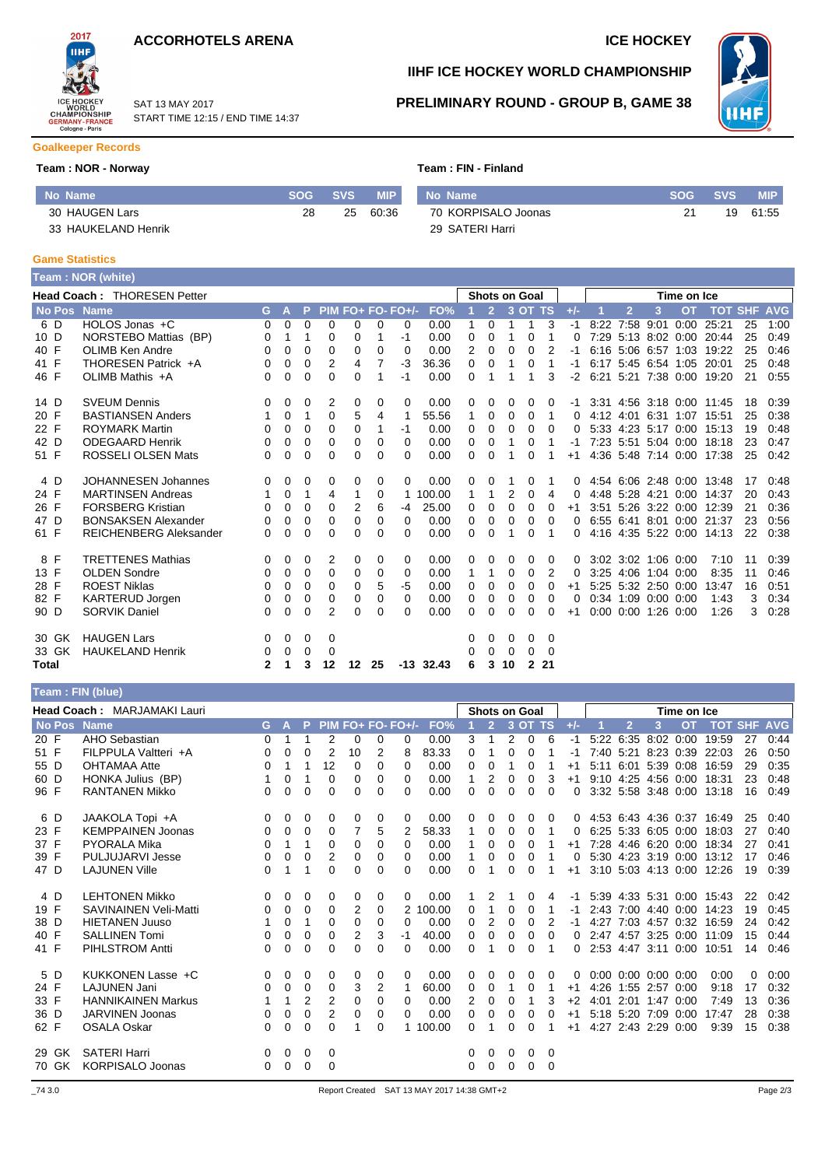



#### SAT 13 MAY 2017 START TIME 12:15 / END TIME 14:37

# **IIHF ICE HOCKEY WORLD CHAMPIONSHIP**



### **PRELIMINARY ROUND - GROUP B, GAME 38**

### **Goalkeeper Records**

#### **Team : NOR - Norway**  T

|  | <b>Feam : FIN - Finland</b> |  |  |  |
|--|-----------------------------|--|--|--|
|--|-----------------------------|--|--|--|

| l No Name'          |    | <b>SVS</b> | <b>MIP</b> | No Name             | <b>SOG</b> | <b>SVS</b> | <b>MIP</b> |
|---------------------|----|------------|------------|---------------------|------------|------------|------------|
| 30 HAUGEN Lars      | 28 | 25         | 60:36      | 70 KORPISALO Joonas |            | 19         | 61:55      |
| 33 HAUKELAND Henrik |    |            |            | 29 SATERI Harri     |            |            |            |

#### **Game Statistics**

|       |               | Team: NOR (white)                  |              |          |          |          |         |    |                   |        |   |                |                      |              |          |          |      |           |                     |                     |                           |            |            |
|-------|---------------|------------------------------------|--------------|----------|----------|----------|---------|----|-------------------|--------|---|----------------|----------------------|--------------|----------|----------|------|-----------|---------------------|---------------------|---------------------------|------------|------------|
|       |               | <b>Head Coach: THORESEN Petter</b> |              |          |          |          |         |    |                   |        |   |                | <b>Shots on Goal</b> |              |          |          |      |           |                     | Time on Ice         |                           |            |            |
|       | <b>No Pos</b> | <b>Name</b>                        | G.           | A        | P        |          |         |    | PIM FO+ FO- FO+/- | FO%    |   | $\overline{2}$ |                      | 3 OT TS      |          | $+/-$    |      | 12        | 3                   | <b>OT</b>           | <b>TOT</b>                | <b>SHF</b> | <b>AVG</b> |
| 6 D   |               | HOLOS Jonas +C                     | 0            | $\Omega$ | $\Omega$ | $\Omega$ | 0       | 0  | 0                 | 0.00   | 1 | $\Omega$       | 1                    | 1            | 3        | $-1$     | 8:22 | 7:58 9:01 |                     | 0:00                | 25:21                     | 25         | 1:00       |
| 10 D  |               | NORSTEBO Mattias (BP)              | 0            | 1        |          | 0        | 0       | 1  | -1                | 0.00   | 0 | 0              | 1                    | 0            |          | 0        |      |           |                     |                     | 7:29 5:13 8:02 0:00 20:44 | 25         | 0:49       |
| 40 F  |               | OLIMB Ken Andre                    | 0            | 0        | 0        | 0        | 0       | 0  | $\Omega$          | 0.00   | 2 | 0              | $\Omega$             | 0            | 2        | -1       |      |           |                     | 6:16 5:06 6:57 1:03 | 19:22                     | 25         | 0:46       |
| 41 F  |               | THORESEN Patrick +A                | 0            | 0        | $\Omega$ | 2        | 4       | 7  | -3                | 36.36  | 0 | 0              |                      | 0            |          | -1       |      |           | 6:17 5:45 6:54 1:05 |                     | 20:01                     | 25         | 0:48       |
| 46 F  |               | OLIMB Mathis +A                    | 0            | 0        | 0        | 0        | 0       | 1  | $-1$              | 0.00   | 0 | 1              | 1                    | 1            | 3        | $-2$     |      |           |                     |                     | 6:21 5:21 7:38 0:00 19:20 | 21         | 0:55       |
| 14 D  |               | <b>SVEUM Dennis</b>                | 0            | 0        | 0        | 2        | 0       | 0  | 0                 | 0.00   | 0 | 0              | 0                    | 0            | 0        | -1       |      |           |                     |                     | 3:31 4:56 3:18 0:00 11:45 | 18         | 0:39       |
| 20 F  |               | <b>BASTIANSEN Anders</b>           | 1            | 0        | 1        | 0        | 5       | 4  | -1                | 55.56  | 1 | 0              | 0                    | 0            | 1        | 0        |      |           |                     |                     | 4:12 4:01 6:31 1:07 15:51 | 25         | 0:38       |
| 22 F  |               | <b>ROYMARK Martin</b>              | 0            | $\Omega$ | $\Omega$ | $\Omega$ | 0       | 1  | $-1$              | 0.00   | 0 | 0              | 0                    | 0            | $\Omega$ | 0        |      |           |                     |                     | 5:33 4:23 5:17 0:00 15:13 | 19         | 0:48       |
| 42 D  |               | <b>ODEGAARD Henrik</b>             | 0            | 0        | 0        | 0        | 0       | 0  | $\Omega$          | 0.00   | 0 | 0              | 1                    | 0            |          | -1       |      |           |                     |                     | 7:23 5:51 5:04 0:00 18:18 | 23         | 0:47       |
| 51 F  |               | <b>ROSSELI OLSEN Mats</b>          | 0            | 0        | 0        | 0        | 0       | 0  | 0                 | 0.00   | 0 | 0              |                      | 0            |          | $+1$     |      |           |                     |                     | 4:36 5:48 7:14 0:00 17:38 | 25         | 0:42       |
| 4 D   |               | <b>JOHANNESEN Johannes</b>         | 0            | 0        | 0        | 0        | 0       | 0  | 0                 | 0.00   | 0 | 0              |                      | 0            |          | 0        |      |           |                     |                     | 4:54 6:06 2:48 0:00 13:48 | 17         | 0:48       |
| 24 F  |               | <b>MARTINSEN Andreas</b>           |              | 0        |          | 4        |         | 0  |                   | 100.00 | 1 | 1              | 2                    | 0            | 4        | 0        |      |           |                     | 4:48 5:28 4:21 0:00 | 14:37                     | 20         | 0:43       |
| 26 F  |               | <b>FORSBERG Kristian</b>           | 0            | 0        | 0        | $\Omega$ | 2       | 6  | -4                | 25.00  | 0 | 0              | $\Omega$             | 0            | $\Omega$ | $+1$     |      |           |                     | 3:51 5:26 3:22 0:00 | 12:39                     | 21         | 0:36       |
| 47 D  |               | <b>BONSAKSEN Alexander</b>         | 0            | 0        | 0        | 0        | 0       | 0  | 0                 | 0.00   | 0 | 0              | 0                    | 0            | 0        | 0        |      |           |                     |                     | 6:55 6:41 8:01 0:00 21:37 | 23         | 0:56       |
| 61 F  |               | <b>REICHENBERG Aleksander</b>      | 0            | 0        | 0        | 0        | 0       | 0  | 0                 | 0.00   | 0 | 0              | 1                    | 0            |          | 0        |      |           |                     |                     | 4:16 4:35 5:22 0:00 14:13 | 22         | 0:38       |
| 8 F   |               | <b>TRETTENES Mathias</b>           | 0            | 0        | 0        | 2        | 0       | 0  | 0                 | 0.00   | 0 | 0              | 0                    | 0            | 0        | 0        |      |           | 3:02 3:02 1:06 0:00 |                     | 7:10                      | 11         | 0:39       |
| 13 F  |               | <b>OLDEN Sondre</b>                | 0            | 0        | 0        | 0        | 0       | 0  | $\Omega$          | 0.00   | 1 | 1              | 0                    | 0            | 2        | $\Omega$ |      |           | 3:25 4:06 1:04 0:00 |                     | 8:35                      | 11         | 0:46       |
| 28 F  |               | <b>ROEST Niklas</b>                | 0            | 0        | 0        | 0        | 0       | 5  | -5                | 0.00   | 0 | 0              | 0                    | 0            | $\Omega$ | $+1$     |      |           | 5:25 5:32 2:50 0:00 |                     | 13:47                     | 16         | 0:51       |
| 82 F  |               | <b>KARTERUD Jorgen</b>             | 0            | 0        | 0        | 0        | 0       | 0  | 0                 | 0.00   | 0 | 0              | 0                    | 0            | 0        | 0        |      |           | 0:34 1:09 0:00 0:00 |                     | 1.43                      | 3          | 0:34       |
| 90 D  |               | <b>SORVIK Daniel</b>               | 0            | 0        | 0        | 2        | 0       | 0  | 0                 | 0.00   | 0 | 0              | $\Omega$             | 0            | 0        | $+1$     |      |           | 0:00 0:00 1:26 0:00 |                     | 1:26                      | 3          | 0:28       |
|       | 30 GK         | <b>HAUGEN Lars</b>                 | 0            | 0        | 0        | 0        |         |    |                   |        | 0 | 0              | 0                    | 0            | $\Omega$ |          |      |           |                     |                     |                           |            |            |
|       | 33 GK         | <b>HAUKELAND Henrik</b>            | 0            | 0        | 0        | 0        |         |    |                   |        | 0 | 0              | 0                    | 0            | $\Omega$ |          |      |           |                     |                     |                           |            |            |
| Total |               |                                    | $\mathbf{2}$ | 1        | 3        | 12       | $12 \,$ | 25 | $-13$             | 32.43  | 6 | 3              | 10                   | $\mathbf{2}$ | -21      |          |      |           |                     |                     |                           |            |            |

#### **Team : FIN (blue)**

|      |       | <b>Head Coach: MARJAMAKI Lauri</b> |          |   |                |                   |    |          |          |          |   |                | <b>Shots on Goal</b> |          |          |       |      |                             |                | Time on Ice |                           |    |      |
|------|-------|------------------------------------|----------|---|----------------|-------------------|----|----------|----------|----------|---|----------------|----------------------|----------|----------|-------|------|-----------------------------|----------------|-------------|---------------------------|----|------|
|      |       | No Pos Name                        | G.       | A |                | PIM FO+ FO- FO+/- |    |          |          | FO%      |   | $\overline{2}$ |                      | 3 OT TS  |          | $+/-$ |      | $\overline{2}$              | 3              | <b>OT</b>   | <b>TOT SHF AVG</b>        |    |      |
| 20 F |       | AHO Sebastian                      | 0        |   |                | 2                 | 0  | 0        | 0        | 0.00     | 3 | 1              | 2                    | $\Omega$ | 6        | -1    | 5:22 | 6:35 8:02 0:00              |                |             | 19:59                     | 27 | 0:44 |
| 51 F |       | FILPPULA Valtteri +A               | 0        | 0 | 0              | 2                 | 10 | 2        | 8        | 83.33    | 0 |                | 0                    | 0        |          | -1    |      | 7:40 5:21                   | 8:23 0:39      |             | 22:03                     | 26 | 0:50 |
| 55 D |       | <b>OHTAMAA Atte</b>                | 0        |   |                | 12                | 0  | 0        | $\Omega$ | 0.00     | 0 | $\Omega$       |                      | 0        |          | $+1$  |      | 5:11 6:01 5:39 0:08         |                |             | 16:59                     | 29 | 0:35 |
| 60 D |       | HONKA Julius (BP)                  |          | 0 |                | 0                 | 0  | 0        | $\Omega$ | 0.00     |   | 2              | O                    | 0        | 3        | $+1$  |      | 9:10 4:25 4:56 0:00         |                |             | 18:31                     | 23 | 0:48 |
| 96 F |       | <b>RANTANEN Mikko</b>              | 0        | 0 | 0              | 0                 | 0  | 0        | $\Omega$ | 0.00     | 0 | 0              | 0                    | 0        | $\Omega$ | 0     |      | 3:32 5:58 3:48 0:00         |                |             | 13:18                     | 16 | 0:49 |
|      | 6 D   | JAAKOLA Topi +A                    | 0        | 0 | 0              | 0                 | 0  | 0        | 0        | 0.00     | 0 | 0              | 0                    | 0        | $\Omega$ | 0     |      |                             |                |             | 4.53 6.43 4.36 0.37 16.49 | 25 | 0:40 |
| 23 F |       | <b>KEMPPAINEN Joonas</b>           | 0        | 0 | $\Omega$       | $\Omega$          |    | 5        | 2        | 58.33    |   | $\Omega$       | 0                    | 0        |          | 0     |      | 6:25 5:33 6:05 0:00         |                |             | 18:03                     | 27 | 0:40 |
| 37 F |       | <b>PYORALA Mika</b>                | 0        |   |                | 0                 | 0  | 0        | $\Omega$ | 0.00     |   | $\Omega$       | 0                    | 0        |          | $+1$  |      | 7:28 4:46 6:20 0:00         |                |             | 18:34                     | 27 | 0:41 |
| 39 F |       | <b>PULJUJARVI Jesse</b>            | 0        | 0 | $\Omega$       | 2                 | 0  | 0        | $\Omega$ | 0.00     |   | 0              | 0                    | 0        |          | 0     |      | 5:30 4:23 3:19 0:00         |                |             | 13:12                     | 17 | 0:46 |
| 47 D |       | <b>LAJUNEN Ville</b>               | 0        | 1 |                | $\Omega$          | 0  | $\Omega$ | 0        | 0.00     | 0 |                | O                    | U        |          | $+1$  |      | 3:10 5:03 4:13 0:00         |                |             | 12:26                     | 19 | 0:39 |
|      | 4 D   | <b>LEHTONEN Mikko</b>              | 0        | 0 | 0              | 0                 | 0  | 0        | 0        | 0.00     |   | 2              |                      | 0        | 4        | -1    |      |                             |                |             | 5:39 4:33 5:31 0:00 15:43 | 22 | 0:42 |
| 19 F |       | <b>SAVINAINEN Veli-Matti</b>       | 0        | 0 | 0              | 0                 | 2  | 0        |          | 2 100.00 | 0 | 1              | 0                    | 0        |          | -1    |      | 2:43 7:00 4:40 0:00         |                |             | 14:23                     | 19 | 0:45 |
| 38 D |       | <b>HIETANEN Juuso</b>              |          | 0 |                | $\Omega$          | 0  | 0        | 0        | 0.00     | 0 | 2              | 0                    | 0        | 2        | -1    |      | 4:27 7:03 4:57 0:32         |                |             | 16:59                     | 24 | 0:42 |
| 40 F |       | <b>SALLINEN Tomi</b>               | 0        | 0 | 0              | $\Omega$          | 2  | 3        | -1       | 40.00    | 0 | 0              | 0                    | 0        | $\Omega$ | 0     |      | 2:47 4:57 3:25 0:00         |                |             | 11:09                     | 15 | 0:44 |
| 41 F |       | <b>PIHLSTROM Antti</b>             | $\Omega$ | 0 | 0              | 0                 | 0  | 0        | $\Omega$ | 0.00     | 0 |                | 0                    | 0        |          | 0     |      | 2:53 4:47 3:11 0:00         |                |             | 10:51                     | 14 | 0:46 |
|      | 5 D   | KUKKONEN Lasse +C                  | 0        | 0 | 0              | 0                 | 0  | 0        | $\Omega$ | 0.00     | 0 | 0              | 0                    | 0        | $\Omega$ | 0     |      | $0:00$ $0:00$ $0:00$ $0:00$ |                |             | 0:00                      | 0  | 0:00 |
| 24 F |       | <b>LAJUNEN Jani</b>                | 0        | 0 | 0              | $\Omega$          | 3  | 2        |          | 60.00    | 0 | 0              | 1                    | 0        |          | $+1$  |      | 4:26 1:55 2:57 0:00         |                |             | 9:18                      | 17 | 0:32 |
| 33 F |       | <b>HANNIKAINEN Markus</b>          |          | 1 | $\overline{2}$ | 2                 | 0  | 0        | 0        | 0.00     | 2 | 0              | 0                    |          | 3        | $+2$  | 4:01 |                             | 2:01 1:47 0:00 |             | 7:49                      | 13 | 0:36 |
| 36 D |       | <b>JARVINEN Joonas</b>             | 0        | 0 | $\Omega$       | 2                 | 0  | 0        | $\Omega$ | 0.00     | 0 | 0              | 0                    | 0        | 0        | $+1$  |      | 5:18 5:20 7:09 0:00         |                |             | 17:47                     | 28 | 0:38 |
| 62 F |       | <b>OSALA Oskar</b>                 | 0        | 0 | 0              | 0                 |    | 0        |          | 1 100.00 | 0 |                | 0                    | $\Omega$ |          | $+1$  |      | 4:27 2:43 2:29 0:00         |                |             | 9:39                      | 15 | 0:38 |
|      | 29 GK | <b>SATERI Harri</b>                | 0        | 0 | 0              | 0                 |    |          |          |          | 0 | 0              | 0                    | 0        | 0        |       |      |                             |                |             |                           |    |      |
|      | 70 GK | <b>KORPISALO Joonas</b>            | 0        | 0 | 0              | $\Omega$          |    |          |          |          | 0 | $\Omega$       | 0                    | 0        | $\Omega$ |       |      |                             |                |             |                           |    |      |